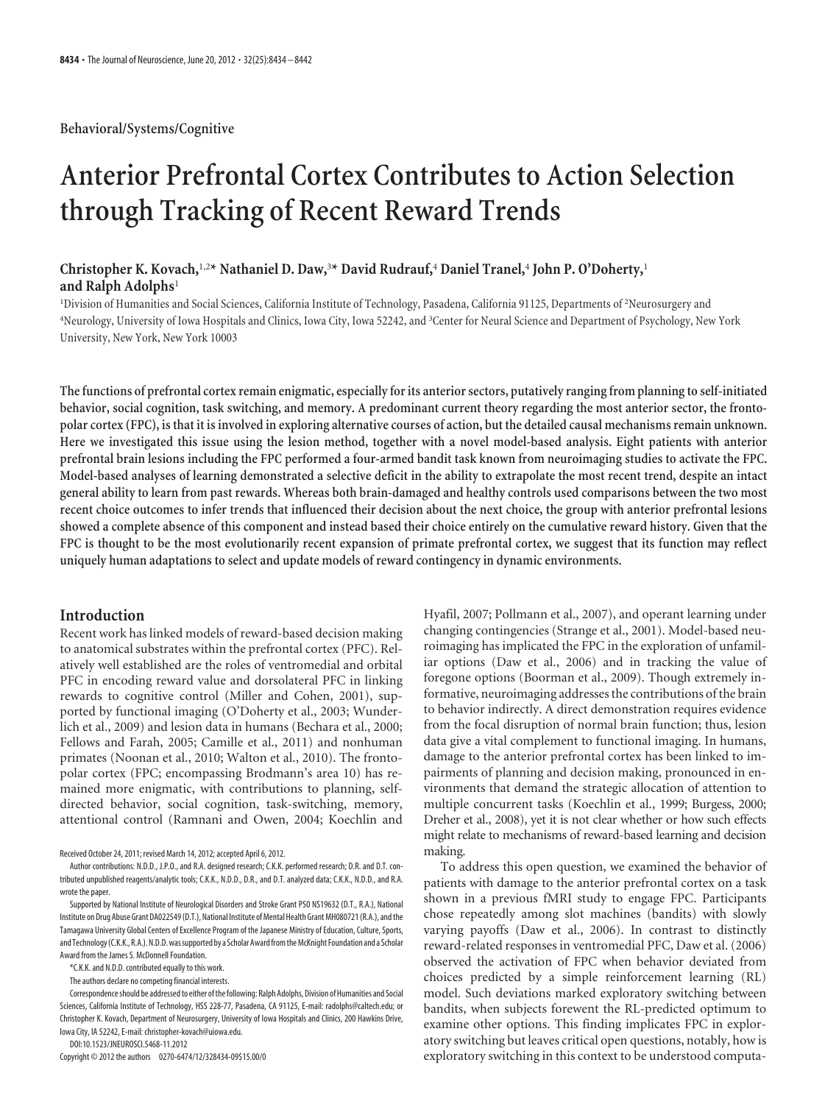# **Anterior Prefrontal Cortex Contributes to Action Selection through Tracking of Recent Reward Trends**

# **Christopher K. Kovach,**1,2**\* Nathaniel D. Daw,**<sup>3</sup> **\* David Rudrauf,**<sup>4</sup> **Daniel Tranel,**<sup>4</sup> **John P. O'Doherty,**<sup>1</sup> **and Ralph Adolphs**<sup>1</sup>

<sup>1</sup>Division of Humanities and Social Sciences, California Institute of Technology, Pasadena, California 91125, Departments of <sup>2</sup>Neurosurgery and 4 Neurology, University of Iowa Hospitals and Clinics, Iowa City, Iowa 52242, and <sup>3</sup> Center for Neural Science and Department of Psychology, New York University, New York, New York 10003

**The functions of prefrontal cortex remain enigmatic, especially for its anterior sectors, putatively ranging from planning to self-initiated behavior, social cognition, task switching, and memory. A predominant current theory regarding the most anterior sector, the frontopolar cortex (FPC), is that it is involved in exploring alternative courses of action, but the detailed causal mechanisms remain unknown. Here we investigated this issue using the lesion method, together with a novel model-based analysis. Eight patients with anterior prefrontal brain lesions including the FPC performed a four-armed bandit task known from neuroimaging studies to activate the FPC. Model-based analyses of learning demonstrated a selective deficit in the ability to extrapolate the most recent trend, despite an intact general ability to learn from past rewards. Whereas both brain-damaged and healthy controls used comparisons between the two most recent choice outcomes to infer trends that influenced their decision about the next choice, the group with anterior prefrontal lesions showed a complete absence of this component and instead based their choice entirely on the cumulative reward history. Given that the FPC is thought to be the most evolutionarily recent expansion of primate prefrontal cortex, we suggest that its function may reflect uniquely human adaptations to select and update models of reward contingency in dynamic environments.**

# **Introduction**

Recent work has linked models of reward-based decision making to anatomical substrates within the prefrontal cortex (PFC). Relatively well established are the roles of ventromedial and orbital PFC in encoding reward value and dorsolateral PFC in linking rewards to cognitive control (Miller and Cohen, 2001), supported by functional imaging (O'Doherty et al., 2003; Wunderlich et al., 2009) and lesion data in humans (Bechara et al., 2000; Fellows and Farah, 2005; Camille et al., 2011) and nonhuman primates (Noonan et al., 2010; Walton et al., 2010). The frontopolar cortex (FPC; encompassing Brodmann's area 10) has remained more enigmatic, with contributions to planning, selfdirected behavior, social cognition, task-switching, memory, attentional control (Ramnani and Owen, 2004; Koechlin and

\*C.K.K. and N.D.D. contributed equally to this work.

The authors declare no competing financial interests.

Correspondence should be addressed to either of the following: Ralph Adolphs, Division of Humanities and Social Sciences, California Institute of Technology, HSS 228-77, Pasadena, CA 91125, E-mail: radolphs@caltech.edu; or Christopher K. Kovach, Department of Neurosurgery, University of Iowa Hospitals and Clinics, 200 Hawkins Drive, Iowa City, IA 52242, E-mail: christopher-kovach@uiowa.edu.

DOI:10.1523/JNEUROSCI.5468-11.2012

Copyright © 2012 the authors 0270-6474/12/328434-09\$15.00/0

Hyafil, 2007; Pollmann et al., 2007), and operant learning under changing contingencies (Strange et al., 2001). Model-based neuroimaging has implicated the FPC in the exploration of unfamiliar options (Daw et al., 2006) and in tracking the value of foregone options (Boorman et al., 2009). Though extremely informative, neuroimaging addresses the contributions of the brain to behavior indirectly. A direct demonstration requires evidence from the focal disruption of normal brain function; thus, lesion data give a vital complement to functional imaging. In humans, damage to the anterior prefrontal cortex has been linked to impairments of planning and decision making, pronounced in environments that demand the strategic allocation of attention to multiple concurrent tasks (Koechlin et al., 1999; Burgess, 2000; Dreher et al., 2008), yet it is not clear whether or how such effects might relate to mechanisms of reward-based learning and decision making.

To address this open question, we examined the behavior of patients with damage to the anterior prefrontal cortex on a task shown in a previous fMRI study to engage FPC. Participants chose repeatedly among slot machines (bandits) with slowly varying payoffs (Daw et al., 2006). In contrast to distinctly reward-related responses in ventromedial PFC, Daw et al. (2006) observed the activation of FPC when behavior deviated from choices predicted by a simple reinforcement learning (RL) model. Such deviations marked exploratory switching between bandits, when subjects forewent the RL-predicted optimum to examine other options. This finding implicates FPC in exploratory switching but leaves critical open questions, notably, how is exploratory switching in this context to be understood computa-

Received October 24, 2011; revised March 14, 2012; accepted April 6, 2012.

Author contributions: N.D.D., J.P.O., and R.A. designed research; C.K.K. performed research; D.R. and D.T. contributed unpublished reagents/analytic tools; C.K.K., N.D.D., D.R., and D.T. analyzed data; C.K.K., N.D.D., and R.A. wrote the paper.

Supported by National Institute of Neurological Disorders and Stroke Grant P50 NS19632 (D.T., R.A.), National Institute on Drug Abuse Grant DA022549(D.T.), National Institute of Mental Health Grant MH080721(R.A.), andthe Tamagawa University Global Centers of Excellence Program of the Japanese Ministry of Education, Culture, Sports, and Technology (C.K.K., R.A.). N.D.D. was supported by a Scholar Award from the McKnight Foundation and a Scholar Award from the James S. McDonnell Foundation.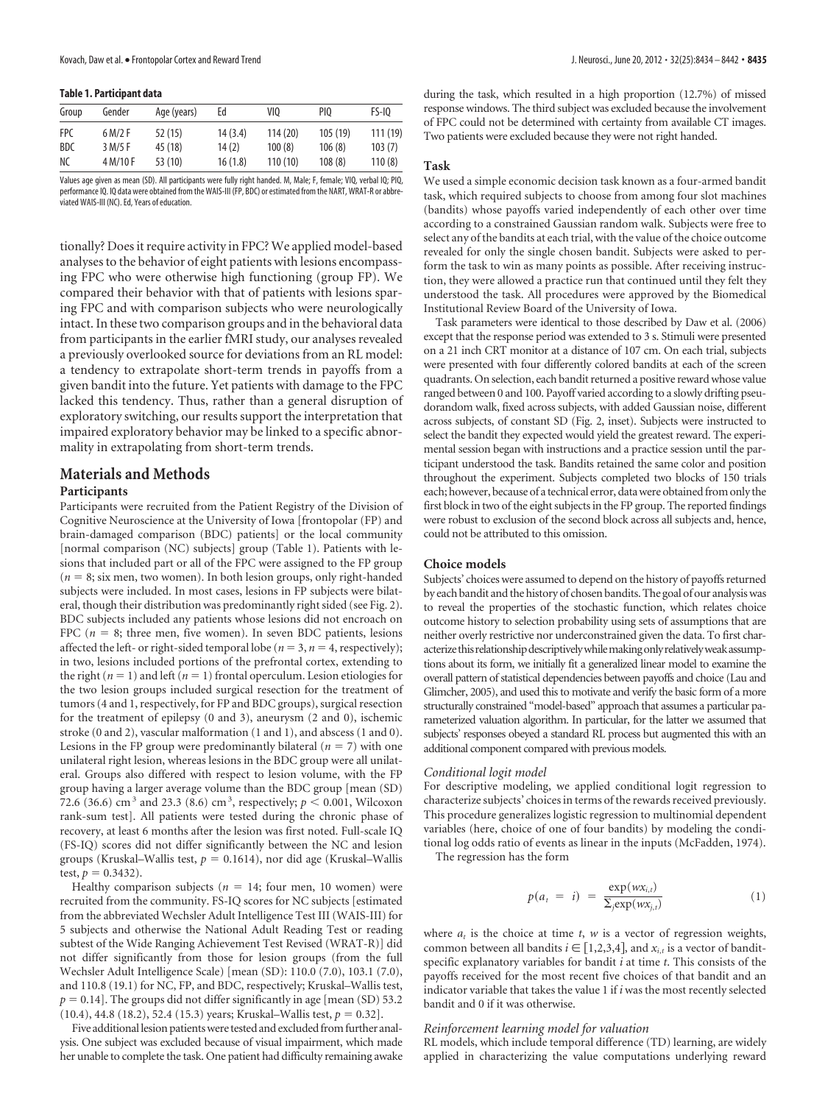#### **Table 1. Participant data**

| Group      | Gender   | Age (years) | Ed      | VIO     | PIO      | FS-IO   |
|------------|----------|-------------|---------|---------|----------|---------|
| <b>FPC</b> | 6 M/2 F  | 52 (15)     | 14(3.4) | 114(20) | 105 (19) | 111(19) |
| <b>BDC</b> | 3 M/5 F  | 45 (18)     | 14(2)   | 100(8)  | 106(8)   | 103(7)  |
| NС         | 4 M/10 F | 53 (10)     | 16(1.8) | 110(10) | 108(8)   | 110(8)  |

Values age given as mean (SD). All participants were fully right handed. M, Male; F, female; VIQ, verbal IQ; PIQ, performance IQ. IQ data were obtained from the WAIS-III (FP, BDC) or estimated from the NART, WRAT-R or abbreviated WAIS-III (NC). Ed, Years of education.

tionally? Does it require activity in FPC? We applied model-based analyses to the behavior of eight patients with lesions encompassing FPC who were otherwise high functioning (group FP). We compared their behavior with that of patients with lesions sparing FPC and with comparison subjects who were neurologically intact. In these two comparison groups and in the behavioral data from participants in the earlier fMRI study, our analyses revealed a previously overlooked source for deviations from an RL model: a tendency to extrapolate short-term trends in payoffs from a given bandit into the future. Yet patients with damage to the FPC lacked this tendency. Thus, rather than a general disruption of exploratory switching, our results support the interpretation that impaired exploratory behavior may be linked to a specific abnormality in extrapolating from short-term trends.

# **Materials and Methods**

# **Participants**

Participants were recruited from the Patient Registry of the Division of Cognitive Neuroscience at the University of Iowa [frontopolar (FP) and brain-damaged comparison (BDC) patients] or the local community [normal comparison (NC) subjects] group (Table 1). Patients with lesions that included part or all of the FPC were assigned to the FP group  $(n = 8; \text{six men}, \text{two women})$ . In both lesion groups, only right-handed subjects were included. In most cases, lesions in FP subjects were bilateral, though their distribution was predominantly right sided (see Fig. 2). BDC subjects included any patients whose lesions did not encroach on FPC  $(n = 8;$  three men, five women). In seven BDC patients, lesions affected the left- or right-sided temporal lobe ( $n = 3$ ,  $n = 4$ , respectively); in two, lesions included portions of the prefrontal cortex, extending to the right ( $n = 1$ ) and left ( $n = 1$ ) frontal operculum. Lesion etiologies for the two lesion groups included surgical resection for the treatment of tumors (4 and 1, respectively, for FP and BDC groups), surgical resection for the treatment of epilepsy (0 and 3), aneurysm (2 and 0), ischemic stroke (0 and 2), vascular malformation (1 and 1), and abscess (1 and 0). Lesions in the FP group were predominantly bilateral  $(n = 7)$  with one unilateral right lesion, whereas lesions in the BDC group were all unilateral. Groups also differed with respect to lesion volume, with the FP group having a larger average volume than the BDC group [mean (SD) 72.6 (36.6) cm<sup>3</sup> and 23.3 (8.6) cm<sup>3</sup>, respectively;  $p < 0.001$ , Wilcoxon rank-sum test]. All patients were tested during the chronic phase of recovery, at least 6 months after the lesion was first noted. Full-scale IQ (FS-IQ) scores did not differ significantly between the NC and lesion groups (Kruskal–Wallis test,  $p = 0.1614$ ), nor did age (Kruskal–Wallis test,  $p = 0.3432$ ).

Healthy comparison subjects ( $n = 14$ ; four men, 10 women) were recruited from the community. FS-IQ scores for NC subjects [estimated from the abbreviated Wechsler Adult Intelligence Test III (WAIS-III) for 5 subjects and otherwise the National Adult Reading Test or reading subtest of the Wide Ranging Achievement Test Revised (WRAT-R)] did not differ significantly from those for lesion groups (from the full Wechsler Adult Intelligence Scale) [mean (SD): 110.0 (7.0), 103.1 (7.0), and 110.8 (19.1) for NC, FP, and BDC, respectively; Kruskal–Wallis test,  $p = 0.14$ . The groups did not differ significantly in age [mean (SD) 53.2  $(10.4)$ , 44.8  $(18.2)$ , 52.4  $(15.3)$  years; Kruskal–Wallis test,  $p = 0.32$ ].

Five additional lesion patients were tested and excluded from further analysis. One subject was excluded because of visual impairment, which made her unable to complete the task. One patient had difficulty remaining awake during the task, which resulted in a high proportion (12.7%) of missed response windows. The third subject was excluded because the involvement of FPC could not be determined with certainty from available CT images. Two patients were excluded because they were not right handed.

### **Task**

We used a simple economic decision task known as a four-armed bandit task, which required subjects to choose from among four slot machines (bandits) whose payoffs varied independently of each other over time according to a constrained Gaussian random walk. Subjects were free to select any of the bandits at each trial, with the value of the choice outcome revealed for only the single chosen bandit. Subjects were asked to perform the task to win as many points as possible. After receiving instruction, they were allowed a practice run that continued until they felt they understood the task. All procedures were approved by the Biomedical Institutional Review Board of the University of Iowa.

Task parameters were identical to those described by Daw et al. (2006) except that the response period was extended to 3 s. Stimuli were presented on a 21 inch CRT monitor at a distance of 107 cm. On each trial, subjects were presented with four differently colored bandits at each of the screen quadrants. On selection, each bandit returned a positive reward whose value ranged between 0 and 100. Payoff varied according to a slowly drifting pseudorandom walk, fixed across subjects, with added Gaussian noise, different across subjects, of constant SD (Fig. 2, inset). Subjects were instructed to select the bandit they expected would yield the greatest reward. The experimental session began with instructions and a practice session until the participant understood the task. Bandits retained the same color and position throughout the experiment. Subjects completed two blocks of 150 trials each; however, because of a technical error, data were obtained from only the first block in two of the eight subjects in the FP group. The reported findings were robust to exclusion of the second block across all subjects and, hence, could not be attributed to this omission.

#### **Choice models**

Subjects' choices were assumed to depend on the history of payoffs returned by each bandit and the history of chosen bandits. The goal of our analysiswas to reveal the properties of the stochastic function, which relates choice outcome history to selection probability using sets of assumptions that are neither overly restrictive nor underconstrained given the data. To first characterize this relationship descriptively while making only relatively weak assumptions about its form, we initially fit a generalized linear model to examine the overall pattern of statistical dependencies between payoffs and choice (Lau and Glimcher, 2005), and used this to motivate and verify the basic form of a more structurally constrained "model-based" approach that assumes a particular parameterized valuation algorithm. In particular, for the latter we assumed that subjects' responses obeyed a standard RL process but augmented this with an additional component compared with previous models.

## *Conditional logit model*

For descriptive modeling, we applied conditional logit regression to characterize subjects' choices in terms of the rewards received previously. This procedure generalizes logistic regression to multinomial dependent variables (here, choice of one of four bandits) by modeling the conditional log odds ratio of events as linear in the inputs (McFadden, 1974).

The regression has the form

$$
p(a_t = i) = \frac{\exp(wx_{i,t})}{\sum_j \exp(wx_{j,t})}
$$
 (1)

where  $a_t$  is the choice at time  $t$ ,  $w$  is a vector of regression weights, common between all bandits  $i \in [1,2,3,4]$ , and  $x_{i,t}$  is a vector of banditspecific explanatory variables for bandit *i* at time *t*. This consists of the payoffs received for the most recent five choices of that bandit and an indicator variable that takes the value 1 if *i* was the most recently selected bandit and 0 if it was otherwise.

#### *Reinforcement learning model for valuation*

RL models, which include temporal difference (TD) learning, are widely applied in characterizing the value computations underlying reward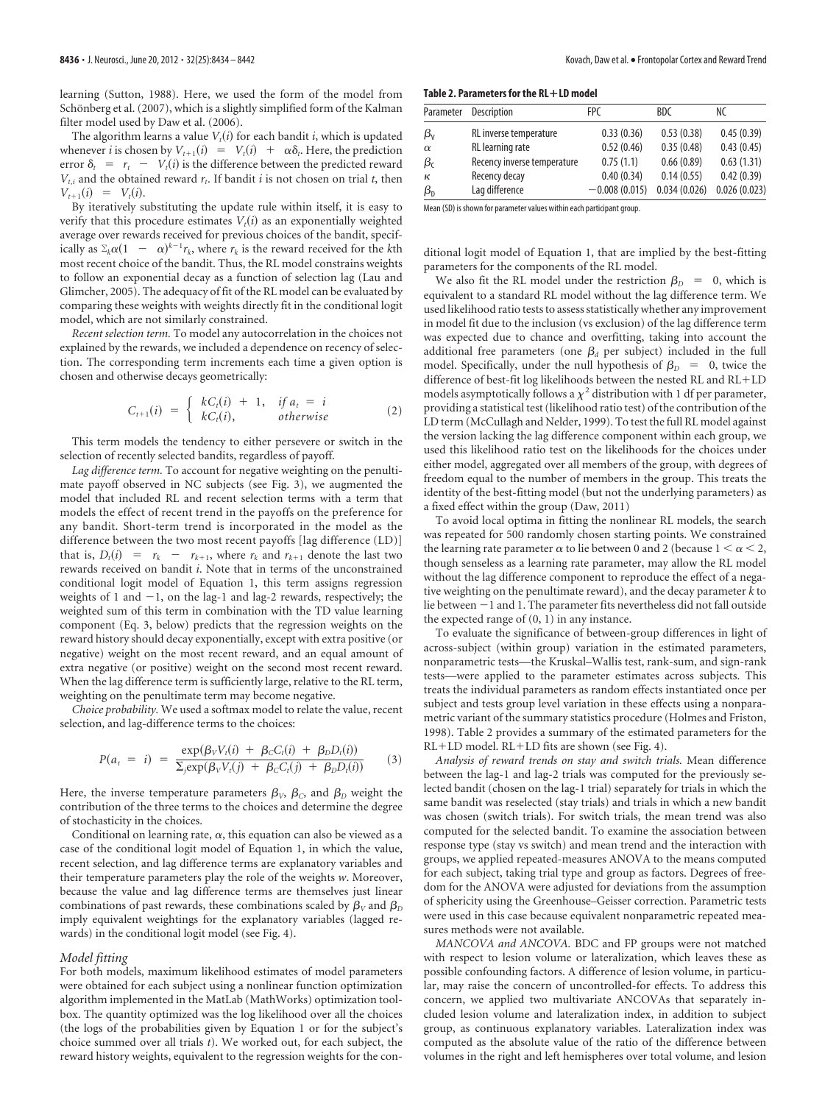learning (Sutton, 1988). Here, we used the form of the model from Schönberg et al. (2007), which is a slightly simplified form of the Kalman filter model used by Daw et al. (2006).

The algorithm learns a value  $V_t(i)$  for each bandit *i*, which is updated whenever *i* is chosen by  $V_{t+1}(i) = V_t(i) + \alpha \delta_t$ . Here, the prediction error  $\delta_t = r_t - V_t(i)$  is the difference between the predicted reward  $V_{t,i}$  and the obtained reward  $r_t$ . If bandit *i* is not chosen on trial *t*, then  $V_{t+1}(i) = V_{t}(i).$ 

By iteratively substituting the update rule within itself, it is easy to verify that this procedure estimates  $V_t(i)$  as an exponentially weighted average over rewards received for previous choices of the bandit, specifically as  $\Sigma_k \alpha (1 - \alpha)^{k-1} r_k$ , where  $r_k$  is the reward received for the *k*th most recent choice of the bandit. Thus, the RL model constrains weights to follow an exponential decay as a function of selection lag (Lau and Glimcher, 2005). The adequacy of fit of the RL model can be evaluated by comparing these weights with weights directly fit in the conditional logit model, which are not similarly constrained.

*Recent selection term.* To model any autocorrelation in the choices not explained by the rewards, we included a dependence on recency of selection. The corresponding term increments each time a given option is chosen and otherwise decays geometrically:

$$
C_{t+1}(i) = \begin{cases} kC_t(i) + 1, & if a_t = i \\ kC_t(i), & otherwise \end{cases}
$$
 (2)

This term models the tendency to either persevere or switch in the selection of recently selected bandits, regardless of payoff.

*Lag difference term.* To account for negative weighting on the penultimate payoff observed in NC subjects (see Fig. 3), we augmented the model that included RL and recent selection terms with a term that models the effect of recent trend in the payoffs on the preference for any bandit. Short-term trend is incorporated in the model as the difference between the two most recent payoffs [lag difference (LD)] that is,  $D_t(i) = r_k - r_{k+1}$ , where  $r_k$  and  $r_{k+1}$  denote the last two rewards received on bandit *i*. Note that in terms of the unconstrained conditional logit model of Equation 1, this term assigns regression weights of 1 and  $-1$ , on the lag-1 and lag-2 rewards, respectively; the weighted sum of this term in combination with the TD value learning component (Eq. 3, below) predicts that the regression weights on the reward history should decay exponentially, except with extra positive (or negative) weight on the most recent reward, and an equal amount of extra negative (or positive) weight on the second most recent reward. When the lag difference term is sufficiently large, relative to the RL term, weighting on the penultimate term may become negative.

*Choice probability.* We used a softmax model to relate the value, recent selection, and lag-difference terms to the choices:

$$
P(a_t = i) = \frac{\exp(\beta_V V_t(i) + \beta_C C_t(i) + \beta_D D_t(i))}{\sum_j \exp(\beta_V V_t(j) + \beta_C C_t(j) + \beta_D D_t(i))}
$$
(3)

Here, the inverse temperature parameters  $\beta_V$ ,  $\beta_c$ , and  $\beta_D$  weight the contribution of the three terms to the choices and determine the degree of stochasticity in the choices.

Conditional on learning rate,  $\alpha$ , this equation can also be viewed as a case of the conditional logit model of Equation 1, in which the value, recent selection, and lag difference terms are explanatory variables and their temperature parameters play the role of the weights *w*. Moreover, because the value and lag difference terms are themselves just linear combinations of past rewards, these combinations scaled by  $\beta_V$  and  $\beta_D$ imply equivalent weightings for the explanatory variables (lagged rewards) in the conditional logit model (see Fig. 4).

#### *Model fitting*

For both models, maximum likelihood estimates of model parameters were obtained for each subject using a nonlinear function optimization algorithm implemented in the MatLab (MathWorks) optimization toolbox. The quantity optimized was the log likelihood over all the choices (the logs of the probabilities given by Equation 1 or for the subject's choice summed over all trials *t*). We worked out, for each subject, the reward history weights, equivalent to the regression weights for the con-

#### **Table 2. Parameters for the RL**-**LD model**

| Parameter          | Description                 | FPC             | BDC          | NC.          |
|--------------------|-----------------------------|-----------------|--------------|--------------|
| $\beta_{\text{v}}$ | RL inverse temperature      | 0.33(0.36)      | 0.53(0.38)   | 0.45(0.39)   |
| $\alpha$           | RL learning rate            | 0.52(0.46)      | 0.35(0.48)   | 0.43(0.45)   |
| $\beta_c$          | Recency inverse temperature | 0.75(1.1)       | 0.66(0.89)   | 0.63(1.31)   |
| к                  | Recency decay               | 0.40(0.34)      | 0.14(0.55)   | 0.42(0.39)   |
| $\beta_{\text{D}}$ | Lag difference              | $-0.008(0.015)$ | 0.034(0.026) | 0.026(0.023) |

Mean (SD) is shown for parameter values within each participant group.

ditional logit model of Equation 1, that are implied by the best-fitting parameters for the components of the RL model.

We also fit the RL model under the restriction  $\beta_D = 0$ , which is equivalent to a standard RL model without the lag difference term. We used likelihood ratio tests to assess statistically whether any improvement in model fit due to the inclusion (vs exclusion) of the lag difference term was expected due to chance and overfitting, taking into account the additional free parameters (one  $\beta_d$  per subject) included in the full model. Specifically, under the null hypothesis of  $\beta_D = 0$ , twice the difference of best-fit log likelihoods between the nested RL and RL+LD models asymptotically follows a  $\chi^2$  distribution with 1 df per parameter, providing a statistical test (likelihood ratio test) of the contribution of the LD term (McCullagh and Nelder, 1999). To test the full RL model against the version lacking the lag difference component within each group, we used this likelihood ratio test on the likelihoods for the choices under either model, aggregated over all members of the group, with degrees of freedom equal to the number of members in the group. This treats the identity of the best-fitting model (but not the underlying parameters) as a fixed effect within the group (Daw, 2011)

To avoid local optima in fitting the nonlinear RL models, the search was repeated for 500 randomly chosen starting points. We constrained the learning rate parameter  $\alpha$  to lie between 0 and 2 (because 1  $< \alpha$   $<$  2, though senseless as a learning rate parameter, may allow the RL model without the lag difference component to reproduce the effect of a negative weighting on the penultimate reward), and the decay parameter *k* to lie between  $-1$  and 1. The parameter fits nevertheless did not fall outside the expected range of (0, 1) in any instance.

To evaluate the significance of between-group differences in light of across-subject (within group) variation in the estimated parameters, nonparametric tests—the Kruskal–Wallis test, rank-sum, and sign-rank tests—were applied to the parameter estimates across subjects. This treats the individual parameters as random effects instantiated once per subject and tests group level variation in these effects using a nonparametric variant of the summary statistics procedure (Holmes and Friston, 1998). Table 2 provides a summary of the estimated parameters for the  $RL+LD$  model.  $RL+LD$  fits are shown (see Fig. 4).

*Analysis of reward trends on stay and switch trials.* Mean difference between the lag-1 and lag-2 trials was computed for the previously selected bandit (chosen on the lag-1 trial) separately for trials in which the same bandit was reselected (stay trials) and trials in which a new bandit was chosen (switch trials). For switch trials, the mean trend was also computed for the selected bandit. To examine the association between response type (stay vs switch) and mean trend and the interaction with groups, we applied repeated-measures ANOVA to the means computed for each subject, taking trial type and group as factors. Degrees of freedom for the ANOVA were adjusted for deviations from the assumption of sphericity using the Greenhouse–Geisser correction. Parametric tests were used in this case because equivalent nonparametric repeated measures methods were not available.

*MANCOVA and ANCOVA.* BDC and FP groups were not matched with respect to lesion volume or lateralization, which leaves these as possible confounding factors. A difference of lesion volume, in particular, may raise the concern of uncontrolled-for effects. To address this concern, we applied two multivariate ANCOVAs that separately included lesion volume and lateralization index, in addition to subject group, as continuous explanatory variables. Lateralization index was computed as the absolute value of the ratio of the difference between volumes in the right and left hemispheres over total volume, and lesion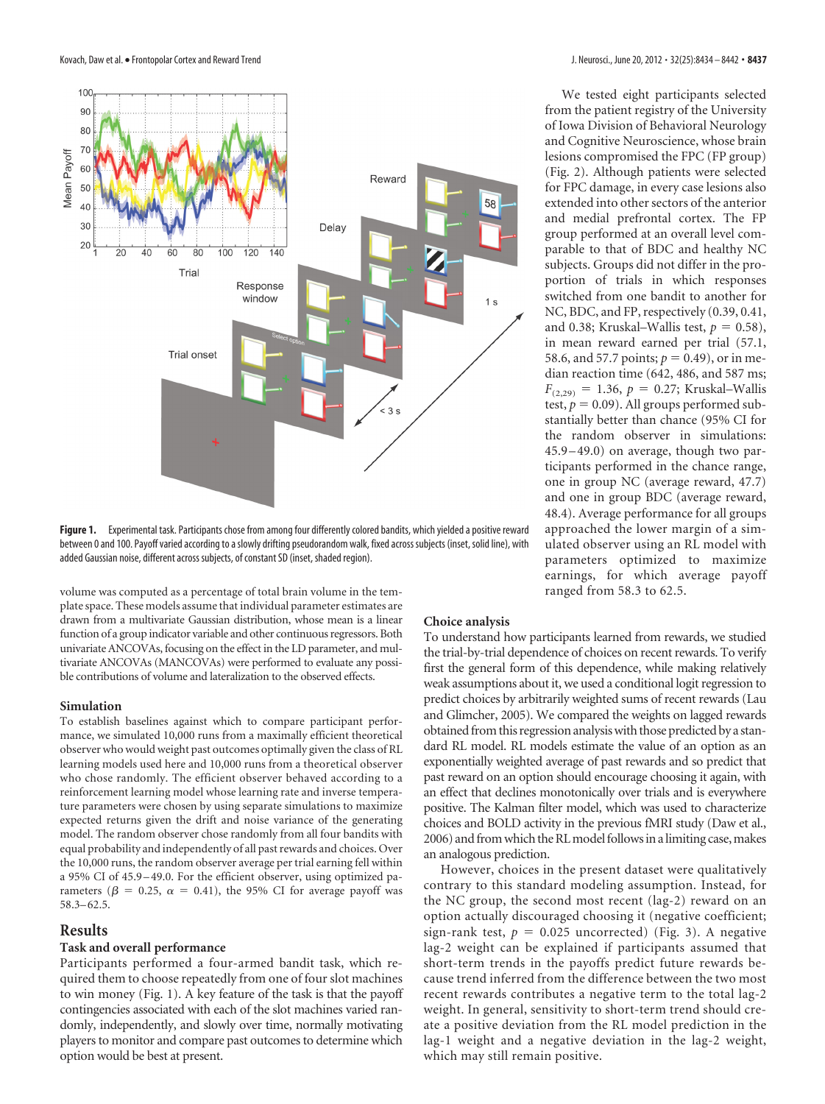

Figure 1. Experimental task. Participants chose from among four differently colored bandits, which yielded a positive reward between 0 and 100. Payoff varied according to a slowly drifting pseudorandom walk, fixed across subjects (inset, solid line), with added Gaussian noise, different across subjects, of constant SD (inset, shaded region).

volume was computed as a percentage of total brain volume in the template space. These models assume that individual parameter estimates are drawn from a multivariate Gaussian distribution, whose mean is a linear function of a group indicator variable and other continuous regressors. Both univariate ANCOVAs, focusing on the effect in the LD parameter, and multivariate ANCOVAs (MANCOVAs) were performed to evaluate any possible contributions of volume and lateralization to the observed effects.

# **Simulation**

To establish baselines against which to compare participant performance, we simulated 10,000 runs from a maximally efficient theoretical observer who would weight past outcomes optimally given the class of RL learning models used here and 10,000 runs from a theoretical observer who chose randomly. The efficient observer behaved according to a reinforcement learning model whose learning rate and inverse temperature parameters were chosen by using separate simulations to maximize expected returns given the drift and noise variance of the generating model. The random observer chose randomly from all four bandits with equal probability and independently of all past rewards and choices. Over the 10,000 runs, the random observer average per trial earning fell within a 95% CI of 45.9 – 49.0. For the efficient observer, using optimized parameters ( $\beta$  = 0.25,  $\alpha$  = 0.41), the 95% CI for average payoff was 58.3– 62.5.

# **Results**

# **Task and overall performance**

Participants performed a four-armed bandit task, which required them to choose repeatedly from one of four slot machines to win money (Fig. 1). A key feature of the task is that the payoff contingencies associated with each of the slot machines varied randomly, independently, and slowly over time, normally motivating players to monitor and compare past outcomes to determine which option would be best at present.

We tested eight participants selected from the patient registry of the University of Iowa Division of Behavioral Neurology and Cognitive Neuroscience, whose brain lesions compromised the FPC (FP group) (Fig. 2). Although patients were selected for FPC damage, in every case lesions also extended into other sectors of the anterior and medial prefrontal cortex. The FP group performed at an overall level comparable to that of BDC and healthy NC subjects. Groups did not differ in the proportion of trials in which responses switched from one bandit to another for NC, BDC, and FP, respectively (0.39, 0.41, and 0.38; Kruskal–Wallis test,  $p = 0.58$ ), in mean reward earned per trial (57.1, 58.6, and 57.7 points;  $p = 0.49$ ), or in median reaction time (642, 486, and 587 ms;  $F_{(2,29)} = 1.36$ ,  $p = 0.27$ ; Kruskal–Wallis test,  $p = 0.09$ ). All groups performed substantially better than chance (95% CI for the random observer in simulations: 45.9 –49.0) on average, though two participants performed in the chance range, one in group NC (average reward, 47.7) and one in group BDC (average reward, 48.4). Average performance for all groups approached the lower margin of a simulated observer using an RL model with parameters optimized to maximize earnings, for which average payoff ranged from 58.3 to 62.5.

# **Choice analysis**

To understand how participants learned from rewards, we studied the trial-by-trial dependence of choices on recent rewards. To verify first the general form of this dependence, while making relatively weak assumptions about it, we used a conditional logit regression to predict choices by arbitrarily weighted sums of recent rewards (Lau and Glimcher, 2005). We compared the weights on lagged rewards obtained from this regression analysis with those predicted by a standard RL model. RL models estimate the value of an option as an exponentially weighted average of past rewards and so predict that past reward on an option should encourage choosing it again, with an effect that declines monotonically over trials and is everywhere positive. The Kalman filter model, which was used to characterize choices and BOLD activity in the previous fMRI study (Daw et al., 2006) and from which the RL model follows in a limiting case, makes an analogous prediction.

However, choices in the present dataset were qualitatively contrary to this standard modeling assumption. Instead, for the NC group, the second most recent (lag-2) reward on an option actually discouraged choosing it (negative coefficient; sign-rank test,  $p = 0.025$  uncorrected) (Fig. 3). A negative lag-2 weight can be explained if participants assumed that short-term trends in the payoffs predict future rewards because trend inferred from the difference between the two most recent rewards contributes a negative term to the total lag-2 weight. In general, sensitivity to short-term trend should create a positive deviation from the RL model prediction in the lag-1 weight and a negative deviation in the lag-2 weight, which may still remain positive.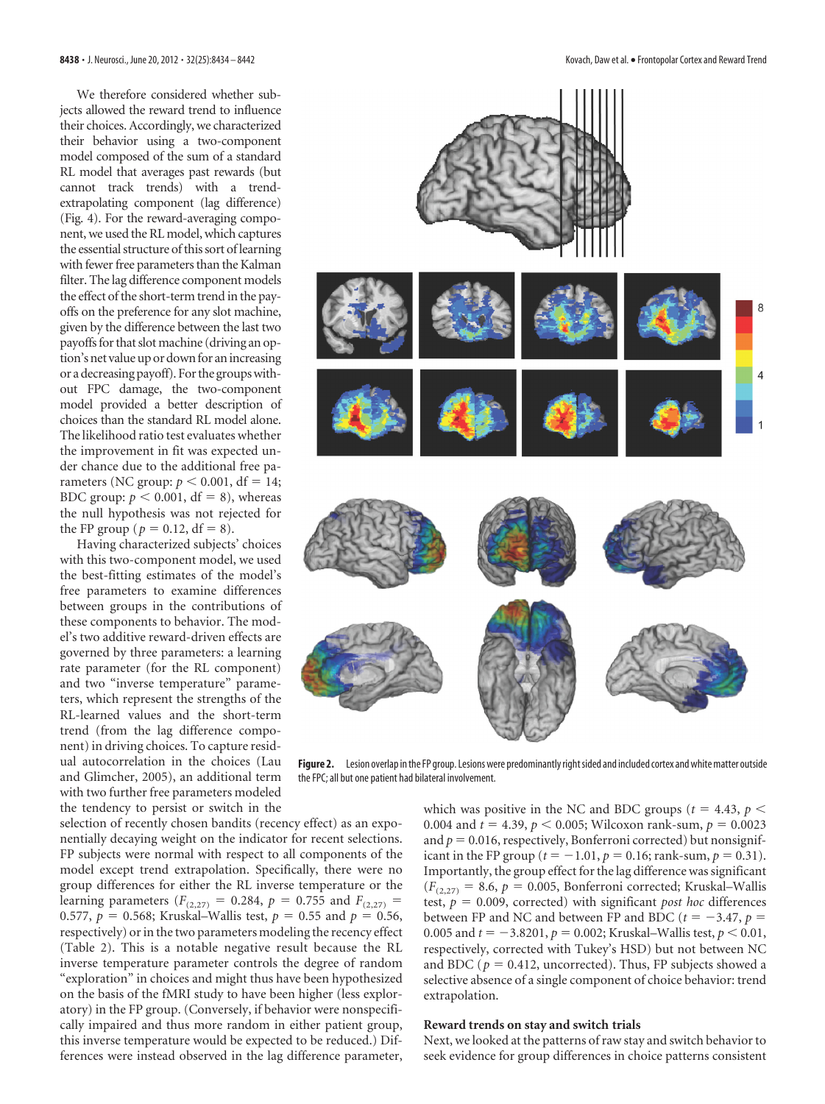We therefore considered whether subjects allowed the reward trend to influence their choices. Accordingly, we characterized their behavior using a two-component model composed of the sum of a standard RL model that averages past rewards (but cannot track trends) with a trendextrapolating component (lag difference) (Fig. 4). For the reward-averaging component, we used the RL model, which captures the essential structure of this sort of learning with fewer free parameters than the Kalman filter. The lag difference component models the effect of the short-term trend in the payoffs on the preference for any slot machine, given by the difference between the last two payoffs for that slot machine (driving an option's net value up or down for an increasing or a decreasing payoff). For the groups without FPC damage, the two-component model provided a better description of choices than the standard RL model alone. The likelihood ratio test evaluates whether the improvement in fit was expected under chance due to the additional free parameters (NC group:  $p < 0.001$ , df = 14; BDC group:  $p < 0.001$ , df = 8), whereas the null hypothesis was not rejected for the FP group ( $p = 0.12$ , df = 8).

Having characterized subjects' choices with this two-component model, we used the best-fitting estimates of the model's free parameters to examine differences between groups in the contributions of these components to behavior. The model's two additive reward-driven effects are governed by three parameters: a learning rate parameter (for the RL component) and two "inverse temperature" parameters, which represent the strengths of the RL-learned values and the short-term trend (from the lag difference component) in driving choices. To capture residual autocorrelation in the choices (Lau and Glimcher, 2005), an additional term with two further free parameters modeled the tendency to persist or switch in the



Figure 2. Lesion overlap in the FP group. Lesions were predominantly right sided and included cortex and white matter outside the FPC; all but one patient had bilateral involvement.

selection of recently chosen bandits (recency effect) as an exponentially decaying weight on the indicator for recent selections. FP subjects were normal with respect to all components of the model except trend extrapolation. Specifically, there were no group differences for either the RL inverse temperature or the learning parameters ( $F_{(2,27)} = 0.284$ ,  $p = 0.755$  and  $F_{(2,27)} =$ 0.577,  $p = 0.568$ ; Kruskal–Wallis test,  $p = 0.55$  and  $p = 0.56$ , respectively) or in the two parameters modeling the recency effect (Table 2). This is a notable negative result because the RL inverse temperature parameter controls the degree of random "exploration" in choices and might thus have been hypothesized on the basis of the fMRI study to have been higher (less exploratory) in the FP group. (Conversely, if behavior were nonspecifically impaired and thus more random in either patient group, this inverse temperature would be expected to be reduced.) Differences were instead observed in the lag difference parameter,

which was positive in the NC and BDC groups ( $t = 4.43$ ,  $p <$ 0.004 and  $t = 4.39$ ,  $p < 0.005$ ; Wilcoxon rank-sum,  $p = 0.0023$ and  $p = 0.016$ , respectively, Bonferroni corrected) but nonsignificant in the FP group ( $t = -1.01$ ,  $p = 0.16$ ; rank-sum,  $p = 0.31$ ). Importantly, the group effect for the lag difference was significant  $(F<sub>(2,27)</sub> = 8.6, p = 0.005, Bonferroni corrected; Kruskal–Wallis)$ test,  $p = 0.009$ , corrected) with significant *post hoc* differences between FP and NC and between FP and BDC ( $t = -3.47$ ,  $p =$ 0.005 and  $t = -3.8201$ ,  $p = 0.002$ ; Kruskal–Wallis test,  $p < 0.01$ , respectively, corrected with Tukey's HSD) but not between NC and BDC ( $p = 0.412$ , uncorrected). Thus, FP subjects showed a selective absence of a single component of choice behavior: trend extrapolation.

# **Reward trends on stay and switch trials**

Next, we looked at the patterns of raw stay and switch behavior to seek evidence for group differences in choice patterns consistent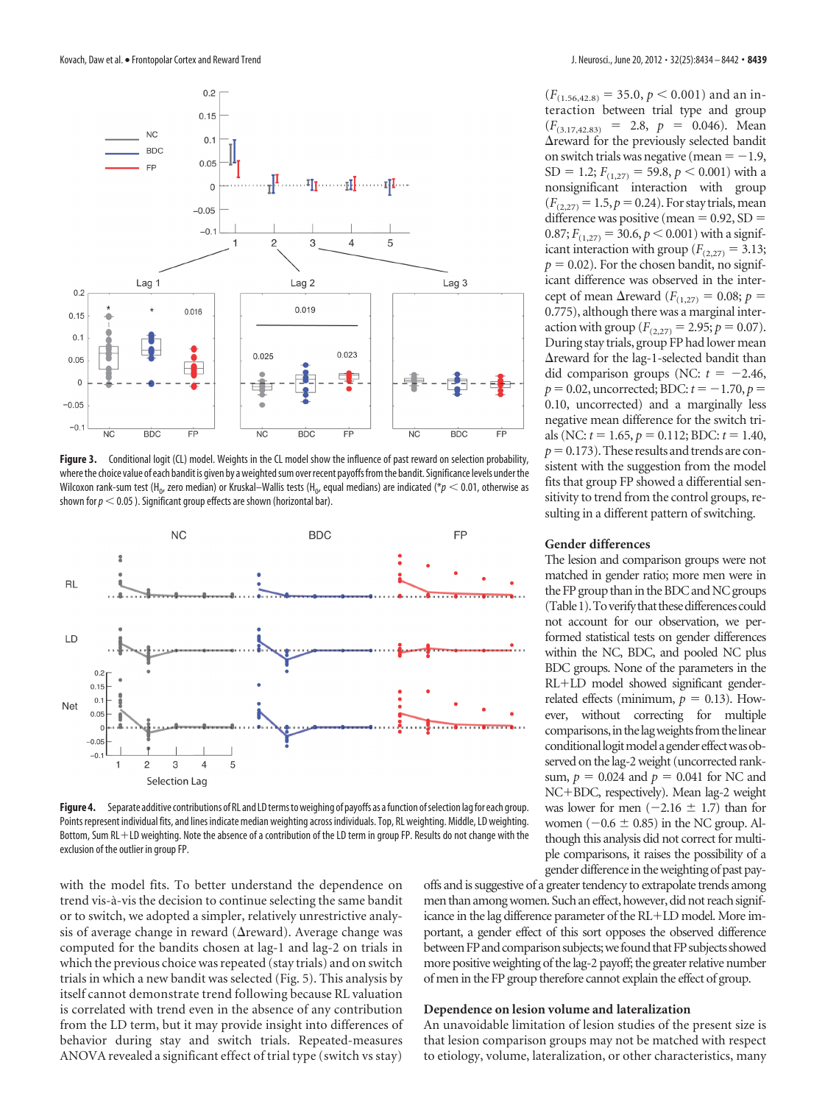

**Figure 3.** Conditional logit (CL) model. Weights in the CL model show the influence of past reward on selection probability, where the choice value of each bandit is given by a weighted sum over recent payoffs from the bandit. Significance levels under the Wilcoxon rank-sum test (H<sub>o</sub>, zero median) or Kruskal—Wallis tests (H<sub>o</sub>, equal medians) are indicated (\* $p < 0.01$ , otherwise as shown for  $p <$  0.05 ). Significant group effects are shown (horizontal bar).



Figure 4. Separate additive contributions of RL and LD terms to weighing of payoffs as a function of selection lag for each group. Points represent individual fits, and lines indicate median weighting across individuals. Top, RL weighting. Middle, LD weighting. Bottom, Sum RL + LD weighting. Note the absence of a contribution of the LD term in group FP. Results do not change with the exclusion of the outlier in group FP.

with the model fits. To better understand the dependence on trend vis-a`-vis the decision to continue selecting the same bandit or to switch, we adopted a simpler, relatively unrestrictive analysis of average change in reward ( $\Delta$ reward). Average change was computed for the bandits chosen at lag-1 and lag-2 on trials in which the previous choice was repeated (stay trials) and on switch trials in which a new bandit was selected (Fig. 5). This analysis by itself cannot demonstrate trend following because RL valuation is correlated with trend even in the absence of any contribution from the LD term, but it may provide insight into differences of behavior during stay and switch trials. Repeated-measures ANOVA revealed a significant effect of trial type (switch vs stay)

 $(F_{(1.56,42.8)} = 35.0, p < 0.001)$  and an interaction between trial type and group  $(F_{(3.17,42.83)}$  = 2.8,  $p = 0.046$ ). Mean  $\Delta$ reward for the previously selected bandit on switch trials was negative (mean  $= -1.9$ ,  $SD = 1.2; F<sub>(1,27)</sub> = 59.8, p < 0.001$  with a nonsignificant interaction with group  $(F_{(2,27)} = 1.5, p = 0.24)$ . For stay trials, mean difference was positive (mean  $= 0.92$ , SD  $=$  $0.87; F_{(1,27)} = 30.6, p < 0.001$  with a significant interaction with group ( $F_{(2,27)} = 3.13$ ;  $p = 0.02$ ). For the chosen bandit, no significant difference was observed in the intercept of mean  $\Delta$ reward ( $F_{(1,27)} = 0.08; p =$ 0.775), although there was a marginal interaction with group ( $F_{(2,27)} = 2.95$ ;  $p = 0.07$ ). During stay trials, group FP had lower mean  $\Delta$ reward for the lag-1-selected bandit than did comparison groups (NC:  $t = -2.46$ ,  $p = 0.02$ , uncorrected; BDC:  $t = -1.70$ ,  $p =$ 0.10, uncorrected) and a marginally less negative mean difference for the switch trials (NC:  $t = 1.65$ ,  $p = 0.112$ ; BDC:  $t = 1.40$ ,  $p=0.173$ ). These results and trends are consistent with the suggestion from the model fits that group FP showed a differential sensitivity to trend from the control groups, resulting in a different pattern of switching.

## **Gender differences**

The lesion and comparison groups were not matched in gender ratio; more men were in the FP group than in the BDC and NC groups (Table 1). To verify that these differences could not account for our observation, we performed statistical tests on gender differences within the NC, BDC, and pooled NC plus BDC groups. None of the parameters in the  $RL+LD$  model showed significant genderrelated effects (minimum,  $p = 0.13$ ). However, without correcting for multiple comparisons, in the lag weights from the linear conditional logit model a gender effect was observed on the lag-2 weight (uncorrected ranksum,  $p = 0.024$  and  $p = 0.041$  for NC and NC+BDC, respectively). Mean lag-2 weight was lower for men  $(-2.16 \pm 1.7)$  than for women  $(-0.6 \pm 0.85)$  in the NC group. Although this analysis did not correct for multiple comparisons, it raises the possibility of a gender difference in the weighting of past pay-

offs and is suggestive of a greater tendency to extrapolate trends among men than amongwomen. Such an effect, however, did not reach significance in the lag difference parameter of the  $RL+LD$  model. More important, a gender effect of this sort opposes the observed difference between FP and comparison subjects; we found that FP subjects showed more positive weighting of the lag-2 payoff; the greater relative number of men in the FP group therefore cannot explain the effect of group.

#### **Dependence on lesion volume and lateralization**

An unavoidable limitation of lesion studies of the present size is that lesion comparison groups may not be matched with respect to etiology, volume, lateralization, or other characteristics, many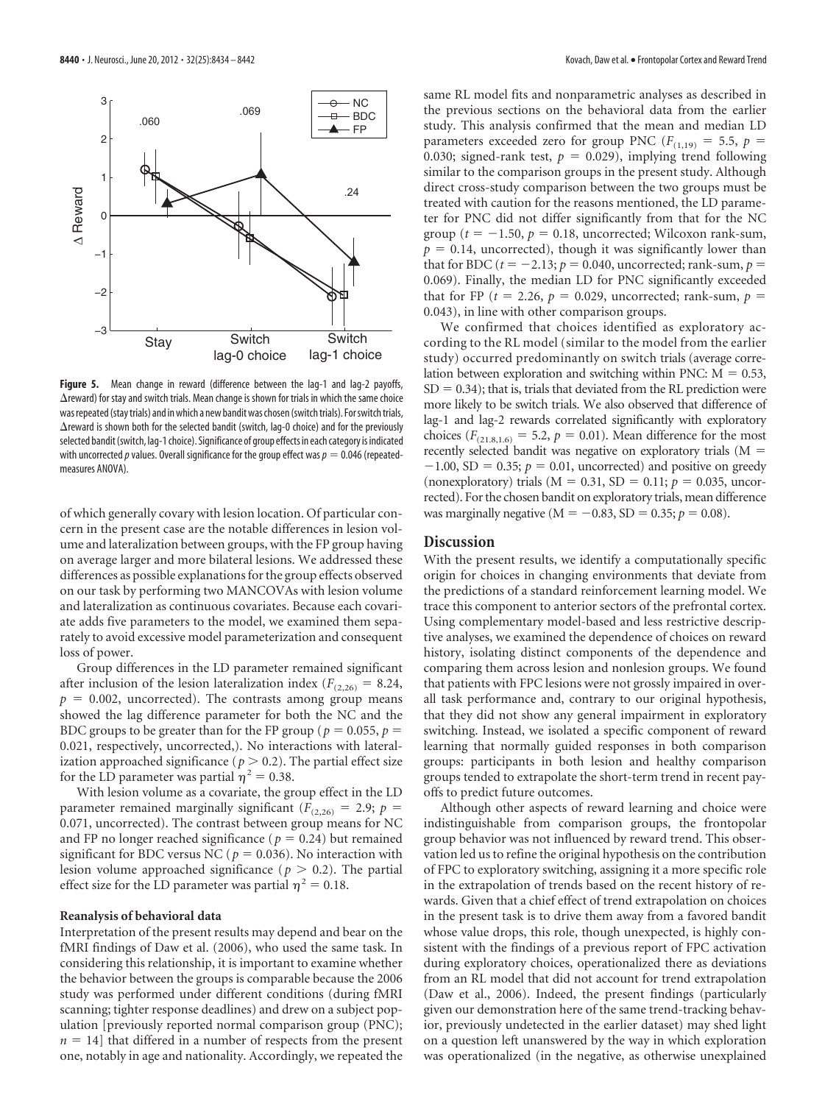

**Figure 5.** Mean change in reward (difference between the lag-1 and lag-2 payoffs,  $\Delta$ reward) for stay and switch trials. Mean change is shown for trials in which the same choice was repeated (stay trials) and in which a new bandit was chosen (switch trials). For switch trials,  $\Delta$ reward is shown both for the selected bandit (switch, lag-0 choice) and for the previously selected bandit (switch, lag-1 choice). Significance of group effects in each category is indicated with uncorrected p values. Overall significance for the group effect was  $p = 0.046$  (repeatedmeasures ANOVA).

of which generally covary with lesion location. Of particular concern in the present case are the notable differences in lesion volume and lateralization between groups, with the FP group having on average larger and more bilateral lesions. We addressed these differences as possible explanations for the group effects observed on our task by performing two MANCOVAs with lesion volume and lateralization as continuous covariates. Because each covariate adds five parameters to the model, we examined them separately to avoid excessive model parameterization and consequent loss of power.

Group differences in the LD parameter remained significant after inclusion of the lesion lateralization index ( $F_{(2,26)} = 8.24$ ,  $p = 0.002$ , uncorrected). The contrasts among group means showed the lag difference parameter for both the NC and the BDC groups to be greater than for the FP group ( $p = 0.055$ ,  $p =$ 0.021, respectively, uncorrected,). No interactions with lateralization approached significance ( $p > 0.2$ ). The partial effect size for the LD parameter was partial  $\eta^2 = 0.38$ .

With lesion volume as a covariate, the group effect in the LD parameter remained marginally significant ( $F_{(2,26)} = 2.9$ ;  $p =$ 0.071, uncorrected). The contrast between group means for NC and FP no longer reached significance ( $p = 0.24$ ) but remained significant for BDC versus NC ( $p = 0.036$ ). No interaction with lesion volume approached significance ( $p > 0.2$ ). The partial effect size for the LD parameter was partial  $\eta^2 = 0.18$ .

#### **Reanalysis of behavioral data**

Interpretation of the present results may depend and bear on the fMRI findings of Daw et al. (2006), who used the same task. In considering this relationship, it is important to examine whether the behavior between the groups is comparable because the 2006 study was performed under different conditions (during fMRI scanning; tighter response deadlines) and drew on a subject population [previously reported normal comparison group (PNC);  $n = 14$ ] that differed in a number of respects from the present one, notably in age and nationality. Accordingly, we repeated the same RL model fits and nonparametric analyses as described in the previous sections on the behavioral data from the earlier study. This analysis confirmed that the mean and median LD parameters exceeded zero for group PNC ( $F$ <sub>(1,19)</sub> = 5.5,  $p$  = 0.030; signed-rank test,  $p = 0.029$ ), implying trend following similar to the comparison groups in the present study. Although direct cross-study comparison between the two groups must be treated with caution for the reasons mentioned, the LD parameter for PNC did not differ significantly from that for the NC group ( $t = -1.50$ ,  $p = 0.18$ , uncorrected; Wilcoxon rank-sum,  $p = 0.14$ , uncorrected), though it was significantly lower than that for BDC ( $t = -2.13; p = 0.040$ , uncorrected; rank-sum,  $p =$ 0.069). Finally, the median LD for PNC significantly exceeded that for FP ( $t = 2.26$ ,  $p = 0.029$ , uncorrected; rank-sum,  $p =$ 0.043), in line with other comparison groups.

We confirmed that choices identified as exploratory according to the RL model (similar to the model from the earlier study) occurred predominantly on switch trials (average correlation between exploration and switching within PNC:  $M = 0.53$ ,  $SD = 0.34$ ); that is, trials that deviated from the RL prediction were more likely to be switch trials. We also observed that difference of lag-1 and lag-2 rewards correlated significantly with exploratory choices ( $F_{(21.8,1.6)} = 5.2$ ,  $p = 0.01$ ). Mean difference for the most recently selected bandit was negative on exploratory trials  $(M =$  $-1.00$ , SD = 0.35;  $p = 0.01$ , uncorrected) and positive on greedy (nonexploratory) trials ( $M = 0.31$ ,  $SD = 0.11$ ;  $p = 0.035$ , uncorrected). For the chosen bandit on exploratory trials, mean difference was marginally negative ( $M = -0.83$ , SD = 0.35;  $p = 0.08$ ).

# **Discussion**

With the present results, we identify a computationally specific origin for choices in changing environments that deviate from the predictions of a standard reinforcement learning model. We trace this component to anterior sectors of the prefrontal cortex. Using complementary model-based and less restrictive descriptive analyses, we examined the dependence of choices on reward history, isolating distinct components of the dependence and comparing them across lesion and nonlesion groups. We found that patients with FPC lesions were not grossly impaired in overall task performance and, contrary to our original hypothesis, that they did not show any general impairment in exploratory switching. Instead, we isolated a specific component of reward learning that normally guided responses in both comparison groups: participants in both lesion and healthy comparison groups tended to extrapolate the short-term trend in recent payoffs to predict future outcomes.

Although other aspects of reward learning and choice were indistinguishable from comparison groups, the frontopolar group behavior was not influenced by reward trend. This observation led us to refine the original hypothesis on the contribution of FPC to exploratory switching, assigning it a more specific role in the extrapolation of trends based on the recent history of rewards. Given that a chief effect of trend extrapolation on choices in the present task is to drive them away from a favored bandit whose value drops, this role, though unexpected, is highly consistent with the findings of a previous report of FPC activation during exploratory choices, operationalized there as deviations from an RL model that did not account for trend extrapolation (Daw et al., 2006). Indeed, the present findings (particularly given our demonstration here of the same trend-tracking behavior, previously undetected in the earlier dataset) may shed light on a question left unanswered by the way in which exploration was operationalized (in the negative, as otherwise unexplained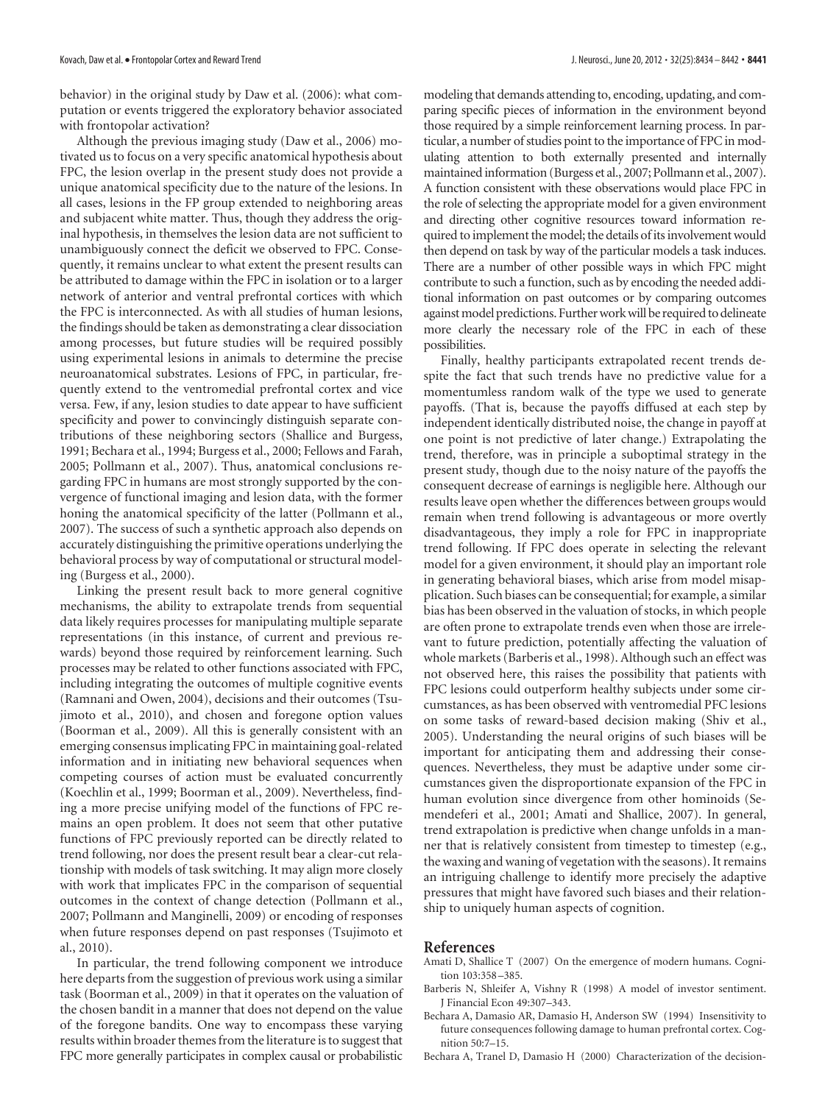behavior) in the original study by Daw et al. (2006): what computation or events triggered the exploratory behavior associated with frontopolar activation?

Although the previous imaging study (Daw et al., 2006) motivated us to focus on a very specific anatomical hypothesis about FPC, the lesion overlap in the present study does not provide a unique anatomical specificity due to the nature of the lesions. In all cases, lesions in the FP group extended to neighboring areas and subjacent white matter. Thus, though they address the original hypothesis, in themselves the lesion data are not sufficient to unambiguously connect the deficit we observed to FPC. Consequently, it remains unclear to what extent the present results can be attributed to damage within the FPC in isolation or to a larger network of anterior and ventral prefrontal cortices with which the FPC is interconnected. As with all studies of human lesions, the findings should be taken as demonstrating a clear dissociation among processes, but future studies will be required possibly using experimental lesions in animals to determine the precise neuroanatomical substrates. Lesions of FPC, in particular, frequently extend to the ventromedial prefrontal cortex and vice versa. Few, if any, lesion studies to date appear to have sufficient specificity and power to convincingly distinguish separate contributions of these neighboring sectors (Shallice and Burgess, 1991; Bechara et al., 1994; Burgess et al., 2000; Fellows and Farah, 2005; Pollmann et al., 2007). Thus, anatomical conclusions regarding FPC in humans are most strongly supported by the convergence of functional imaging and lesion data, with the former honing the anatomical specificity of the latter (Pollmann et al., 2007). The success of such a synthetic approach also depends on accurately distinguishing the primitive operations underlying the behavioral process by way of computational or structural modeling (Burgess et al., 2000).

Linking the present result back to more general cognitive mechanisms, the ability to extrapolate trends from sequential data likely requires processes for manipulating multiple separate representations (in this instance, of current and previous rewards) beyond those required by reinforcement learning. Such processes may be related to other functions associated with FPC, including integrating the outcomes of multiple cognitive events (Ramnani and Owen, 2004), decisions and their outcomes (Tsujimoto et al., 2010), and chosen and foregone option values (Boorman et al., 2009). All this is generally consistent with an emerging consensus implicating FPC in maintaining goal-related information and in initiating new behavioral sequences when competing courses of action must be evaluated concurrently (Koechlin et al., 1999; Boorman et al., 2009). Nevertheless, finding a more precise unifying model of the functions of FPC remains an open problem. It does not seem that other putative functions of FPC previously reported can be directly related to trend following, nor does the present result bear a clear-cut relationship with models of task switching. It may align more closely with work that implicates FPC in the comparison of sequential outcomes in the context of change detection (Pollmann et al., 2007; Pollmann and Manginelli, 2009) or encoding of responses when future responses depend on past responses (Tsujimoto et al., 2010).

In particular, the trend following component we introduce here departs from the suggestion of previous work using a similar task (Boorman et al., 2009) in that it operates on the valuation of the chosen bandit in a manner that does not depend on the value of the foregone bandits. One way to encompass these varying results within broader themes from the literature is to suggest that FPC more generally participates in complex causal or probabilistic

paring specific pieces of information in the environment beyond those required by a simple reinforcement learning process. In particular, a number of studies point to the importance of FPC in modulating attention to both externally presented and internally maintained information (Burgess et al., 2007; Pollmann et al., 2007). A function consistent with these observations would place FPC in the role of selecting the appropriate model for a given environment and directing other cognitive resources toward information required to implement the model; the details of its involvement would then depend on task by way of the particular models a task induces. There are a number of other possible ways in which FPC might contribute to such a function, such as by encoding the needed additional information on past outcomes or by comparing outcomes against model predictions. Further work will be required to delineate more clearly the necessary role of the FPC in each of these possibilities.

Finally, healthy participants extrapolated recent trends despite the fact that such trends have no predictive value for a momentumless random walk of the type we used to generate payoffs. (That is, because the payoffs diffused at each step by independent identically distributed noise, the change in payoff at one point is not predictive of later change.) Extrapolating the trend, therefore, was in principle a suboptimal strategy in the present study, though due to the noisy nature of the payoffs the consequent decrease of earnings is negligible here. Although our results leave open whether the differences between groups would remain when trend following is advantageous or more overtly disadvantageous, they imply a role for FPC in inappropriate trend following. If FPC does operate in selecting the relevant model for a given environment, it should play an important role in generating behavioral biases, which arise from model misapplication. Such biases can be consequential; for example, a similar bias has been observed in the valuation of stocks, in which people are often prone to extrapolate trends even when those are irrelevant to future prediction, potentially affecting the valuation of whole markets (Barberis et al., 1998). Although such an effect was not observed here, this raises the possibility that patients with FPC lesions could outperform healthy subjects under some circumstances, as has been observed with ventromedial PFC lesions on some tasks of reward-based decision making (Shiv et al., 2005). Understanding the neural origins of such biases will be important for anticipating them and addressing their consequences. Nevertheless, they must be adaptive under some circumstances given the disproportionate expansion of the FPC in human evolution since divergence from other hominoids (Semendeferi et al., 2001; Amati and Shallice, 2007). In general, trend extrapolation is predictive when change unfolds in a manner that is relatively consistent from timestep to timestep (e.g., the waxing and waning of vegetation with the seasons). It remains an intriguing challenge to identify more precisely the adaptive pressures that might have favored such biases and their relationship to uniquely human aspects of cognition.

## **References**

- Amati D, Shallice T (2007) On the emergence of modern humans. Cognition 103:358 –385.
- Barberis N, Shleifer A, Vishny R (1998) A model of investor sentiment. J Financial Econ 49:307–343.
- Bechara A, Damasio AR, Damasio H, Anderson SW (1994) Insensitivity to future consequences following damage to human prefrontal cortex. Cognition 50:7–15.
- Bechara A, Tranel D, Damasio H (2000) Characterization of the decision-